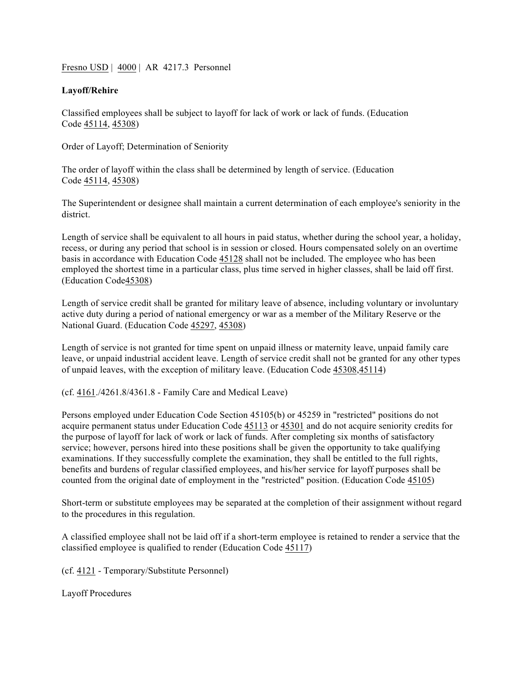Fresno USD | 4000 | AR 4217.3 Personnel

### **Layoff/Rehire**

Classified employees shall be subject to layoff for lack of work or lack of funds. (Education Code 45114, 45308)

Order of Layoff; Determination of Seniority

The order of layoff within the class shall be determined by length of service. (Education Code 45114, 45308)

The Superintendent or designee shall maintain a current determination of each employee's seniority in the district.

Length of service shall be equivalent to all hours in paid status, whether during the school year, a holiday, recess, or during any period that school is in session or closed. Hours compensated solely on an overtime basis in accordance with Education Code 45128 shall not be included. The employee who has been employed the shortest time in a particular class, plus time served in higher classes, shall be laid off first. (Education Code45308)

Length of service credit shall be granted for military leave of absence, including voluntary or involuntary active duty during a period of national emergency or war as a member of the Military Reserve or the National Guard. (Education Code 45297, 45308)

Length of service is not granted for time spent on unpaid illness or maternity leave, unpaid family care leave, or unpaid industrial accident leave. Length of service credit shall not be granted for any other types of unpaid leaves, with the exception of military leave. (Education Code 45308,45114)

(cf. 4161./4261.8/4361.8 - Family Care and Medical Leave)

Persons employed under Education Code Section 45105(b) or 45259 in "restricted" positions do not acquire permanent status under Education Code 45113 or 45301 and do not acquire seniority credits for the purpose of layoff for lack of work or lack of funds. After completing six months of satisfactory service; however, persons hired into these positions shall be given the opportunity to take qualifying examinations. If they successfully complete the examination, they shall be entitled to the full rights, benefits and burdens of regular classified employees, and his/her service for layoff purposes shall be counted from the original date of employment in the "restricted" position. (Education Code 45105)

Short-term or substitute employees may be separated at the completion of their assignment without regard to the procedures in this regulation.

A classified employee shall not be laid off if a short-term employee is retained to render a service that the classified employee is qualified to render (Education Code 45117)

(cf. 4121 - Temporary/Substitute Personnel)

Layoff Procedures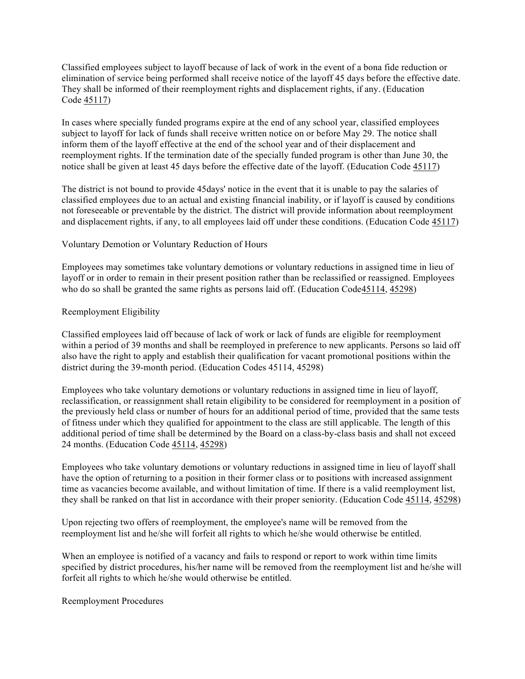Classified employees subject to layoff because of lack of work in the event of a bona fide reduction or elimination of service being performed shall receive notice of the layoff 45 days before the effective date. They shall be informed of their reemployment rights and displacement rights, if any. (Education Code 45117)

In cases where specially funded programs expire at the end of any school year, classified employees subject to layoff for lack of funds shall receive written notice on or before May 29. The notice shall inform them of the layoff effective at the end of the school year and of their displacement and reemployment rights. If the termination date of the specially funded program is other than June 30, the notice shall be given at least 45 days before the effective date of the layoff. (Education Code 45117)

The district is not bound to provide 45days' notice in the event that it is unable to pay the salaries of classified employees due to an actual and existing financial inability, or if layoff is caused by conditions not foreseeable or preventable by the district. The district will provide information about reemployment and displacement rights, if any, to all employees laid off under these conditions. (Education Code 45117)

#### Voluntary Demotion or Voluntary Reduction of Hours

Employees may sometimes take voluntary demotions or voluntary reductions in assigned time in lieu of layoff or in order to remain in their present position rather than be reclassified or reassigned. Employees who do so shall be granted the same rights as persons laid off. (Education Code45114, 45298)

#### Reemployment Eligibility

Classified employees laid off because of lack of work or lack of funds are eligible for reemployment within a period of 39 months and shall be reemployed in preference to new applicants. Persons so laid off also have the right to apply and establish their qualification for vacant promotional positions within the district during the 39-month period. (Education Codes 45114, 45298)

Employees who take voluntary demotions or voluntary reductions in assigned time in lieu of layoff, reclassification, or reassignment shall retain eligibility to be considered for reemployment in a position of the previously held class or number of hours for an additional period of time, provided that the same tests of fitness under which they qualified for appointment to the class are still applicable. The length of this additional period of time shall be determined by the Board on a class-by-class basis and shall not exceed 24 months. (Education Code 45114, 45298)

Employees who take voluntary demotions or voluntary reductions in assigned time in lieu of layoff shall have the option of returning to a position in their former class or to positions with increased assignment time as vacancies become available, and without limitation of time. If there is a valid reemployment list, they shall be ranked on that list in accordance with their proper seniority. (Education Code 45114, 45298)

Upon rejecting two offers of reemployment, the employee's name will be removed from the reemployment list and he/she will forfeit all rights to which he/she would otherwise be entitled.

When an employee is notified of a vacancy and fails to respond or report to work within time limits specified by district procedures, his/her name will be removed from the reemployment list and he/she will forfeit all rights to which he/she would otherwise be entitled.

Reemployment Procedures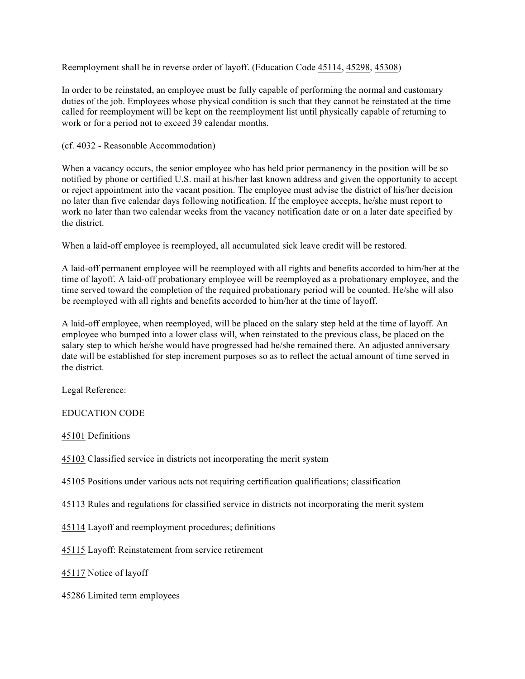Reemployment shall be in reverse order of layoff. (Education Code 45114, 45298, 45308)

In order to be reinstated, an employee must be fully capable of performing the normal and customary duties of the job. Employees whose physical condition is such that they cannot be reinstated at the time called for reemployment will be kept on the reemployment list until physically capable of returning to work or for a period not to exceed 39 calendar months.

## (cf. 4032 - Reasonable Accommodation)

When a vacancy occurs, the senior employee who has held prior permanency in the position will be so notified by phone or certified U.S. mail at his/her last known address and given the opportunity to accept or reject appointment into the vacant position. The employee must advise the district of his/her decision no later than five calendar days following notification. If the employee accepts, he/she must report to work no later than two calendar weeks from the vacancy notification date or on a later date specified by the district.

When a laid-off employee is reemployed, all accumulated sick leave credit will be restored.

A laid-off permanent employee will be reemployed with all rights and benefits accorded to him/her at the time of layoff. A laid-off probationary employee will be reemployed as a probationary employee, and the time served toward the completion of the required probationary period will be counted. He/she will also be reemployed with all rights and benefits accorded to him/her at the time of layoff.

A laid-off employee, when reemployed, will be placed on the salary step held at the time of layoff. An employee who bumped into a lower class will, when reinstated to the previous class, be placed on the salary step to which he/she would have progressed had he/she remained there. An adjusted anniversary date will be established for step increment purposes so as to reflect the actual amount of time served in the district.

Legal Reference:

# EDUCATION CODE

45101 Definitions

45103 Classified service in districts not incorporating the merit system

45105 Positions under various acts not requiring certification qualifications; classification

45113 Rules and regulations for classified service in districts not incorporating the merit system

45114 Layoff and reemployment procedures; definitions

45115 Layoff: Reinstatement from service retirement

45117 Notice of layoff

45286 Limited term employees